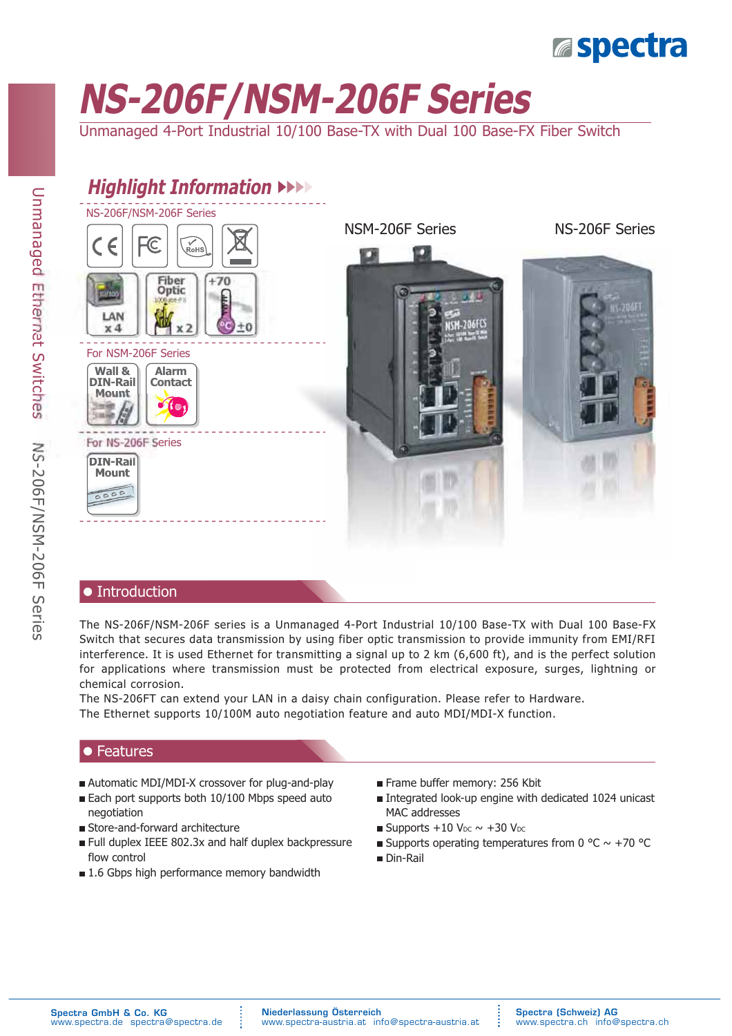# **Espectra**

# **NS-206F/NSM-206F Series**

Unmanaged 4-Port Industrial 10/100 Base-TX with Dual 100 Base-FX Fiber Switch



### • Introduction

The NS-206F/NSM-206F series is a Unmanaged 4-Port Industrial 10/100 Base-TX with Dual 100 Base-FX Switch that secures data transmission by using fiber optic transmission to provide immunity from EMI/RFI interference. It is used Ethernet for transmitting a signal up to 2 km (6,600 ft), and is the perfect solution for applications where transmission must be protected from electrical exposure, surges, lightning or chemical corrosion.

The NS-206FT can extend your LAN in a daisy chain configuration. Please refer to Hardware. The Ethernet supports 10/100M auto negotiation feature and auto MDI/MDI-X function.

### $\bullet$  Features

- Automatic MDI/MDI-X crossover for plug-and-play
- Each port supports both 10/100 Mbps speed auto negotiation
- Store-and-forward architecture
- Full duplex IEEE 802.3x and half duplex backpressure flow control
- $\blacksquare$  1.6 Gbps high performance memory bandwidth
- Frame buffer memory: 256 Kbit
- MAC addresses Integrated look-up engine with dedicated 1024 unicast
- Supports  $+10$  V<sub>DC</sub>  $\sim +30$  V<sub>DC</sub>
- Supports operating temperatures from 0 °C  $\sim$  +70 °C
- Din-Rail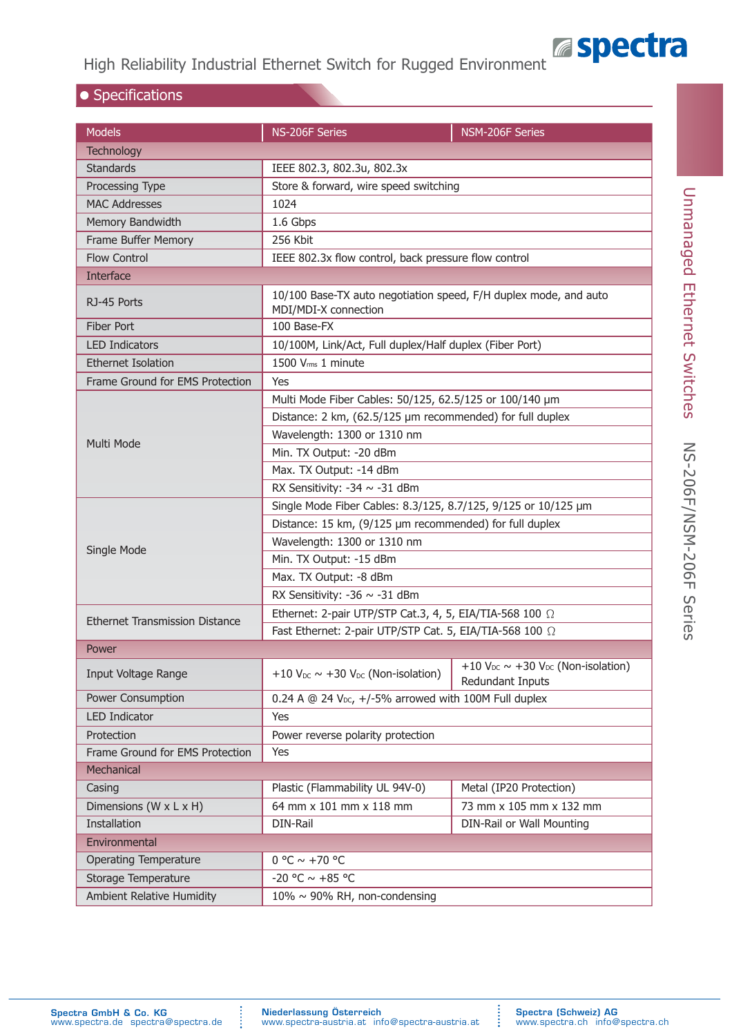

### High Reliability Industrial Ethernet Switch for Rugged Environment

### $\bullet$  Specifications

| <b>Models</b>                         | NS-206F Series                                                                           | NSM-206F Series                                                 |  |  |  |
|---------------------------------------|------------------------------------------------------------------------------------------|-----------------------------------------------------------------|--|--|--|
| <b>Technology</b>                     |                                                                                          |                                                                 |  |  |  |
| <b>Standards</b>                      | IEEE 802.3, 802.3u, 802.3x                                                               |                                                                 |  |  |  |
| Processing Type                       | Store & forward, wire speed switching                                                    |                                                                 |  |  |  |
| <b>MAC Addresses</b>                  | 1024                                                                                     |                                                                 |  |  |  |
| Memory Bandwidth                      | 1.6 Gbps                                                                                 |                                                                 |  |  |  |
| Frame Buffer Memory                   | 256 Kbit                                                                                 |                                                                 |  |  |  |
| <b>Flow Control</b>                   | IEEE 802.3x flow control, back pressure flow control                                     |                                                                 |  |  |  |
| <b>Interface</b>                      |                                                                                          |                                                                 |  |  |  |
| RJ-45 Ports                           | 10/100 Base-TX auto negotiation speed, F/H duplex mode, and auto<br>MDI/MDI-X connection |                                                                 |  |  |  |
| <b>Fiber Port</b>                     | 100 Base-FX                                                                              |                                                                 |  |  |  |
| <b>LED Indicators</b>                 | 10/100M, Link/Act, Full duplex/Half duplex (Fiber Port)                                  |                                                                 |  |  |  |
| <b>Ethernet Isolation</b>             | 1500 Vrms 1 minute                                                                       |                                                                 |  |  |  |
| Frame Ground for EMS Protection       | Yes                                                                                      |                                                                 |  |  |  |
|                                       | Multi Mode Fiber Cables: 50/125, 62.5/125 or 100/140 µm                                  |                                                                 |  |  |  |
|                                       | Distance: 2 km, (62.5/125 µm recommended) for full duplex                                |                                                                 |  |  |  |
|                                       | Wavelength: 1300 or 1310 nm                                                              |                                                                 |  |  |  |
| Multi Mode                            | Min. TX Output: - 20 dBm                                                                 |                                                                 |  |  |  |
|                                       | Max. TX Output: -14 dBm                                                                  |                                                                 |  |  |  |
|                                       | RX Sensitivity: -34 ~ -31 dBm                                                            |                                                                 |  |  |  |
|                                       | Single Mode Fiber Cables: 8.3/125, 8.7/125, 9/125 or 10/125 µm                           |                                                                 |  |  |  |
|                                       | Distance: 15 km, (9/125 µm recommended) for full duplex                                  |                                                                 |  |  |  |
| Single Mode                           | Wavelength: 1300 or 1310 nm                                                              |                                                                 |  |  |  |
|                                       | Min. TX Output: -15 dBm                                                                  |                                                                 |  |  |  |
|                                       | Max. TX Output: -8 dBm                                                                   |                                                                 |  |  |  |
|                                       | RX Sensitivity: -36 $\sim$ -31 dBm                                                       |                                                                 |  |  |  |
| <b>Ethernet Transmission Distance</b> | Ethernet: 2-pair UTP/STP Cat.3, 4, 5, EIA/TIA-568 100 $\Omega$                           |                                                                 |  |  |  |
|                                       | Fast Ethernet: 2-pair UTP/STP Cat. 5, EIA/TIA-568 100 2                                  |                                                                 |  |  |  |
| Power                                 |                                                                                          |                                                                 |  |  |  |
| Input Voltage Range                   | +10 $V_{DC}$ ~ +30 $V_{DC}$ (Non-isolation)                                              | +10 $V_{DC}$ ~ +30 $V_{DC}$ (Non-isolation)<br>Redundant Inputs |  |  |  |
| Power Consumption                     | 0.24 A $@$ 24 V <sub>pc</sub> , $+/-5\%$ arrowed with 100M Full duplex                   |                                                                 |  |  |  |
| <b>LED Indicator</b>                  | Yes                                                                                      |                                                                 |  |  |  |
| Protection                            | Power reverse polarity protection                                                        |                                                                 |  |  |  |
| Frame Ground for EMS Protection       | Yes                                                                                      |                                                                 |  |  |  |
| Mechanical                            |                                                                                          |                                                                 |  |  |  |
| Casing                                | Plastic (Flammability UL 94V-0)                                                          | Metal (IP20 Protection)                                         |  |  |  |
| Dimensions ( $W \times L \times H$ )  | 64 mm x 101 mm x 118 mm                                                                  | 73 mm x 105 mm x 132 mm                                         |  |  |  |
| Installation                          | DIN-Rail                                                                                 | DIN-Rail or Wall Mounting                                       |  |  |  |
| Environmental                         |                                                                                          |                                                                 |  |  |  |
| <b>Operating Temperature</b>          | $0 °C \sim +70 °C$                                                                       |                                                                 |  |  |  |
| Storage Temperature                   | -20 °C $\sim$ +85 °C                                                                     |                                                                 |  |  |  |
| Ambient Relative Humidity             | $10\% \sim 90\%$ RH, non-condensing                                                      |                                                                 |  |  |  |

 $\ddot{\phantom{a}}$ 

 $\begin{array}{c} \vdots \\ \vdots \\ \vdots \end{array}$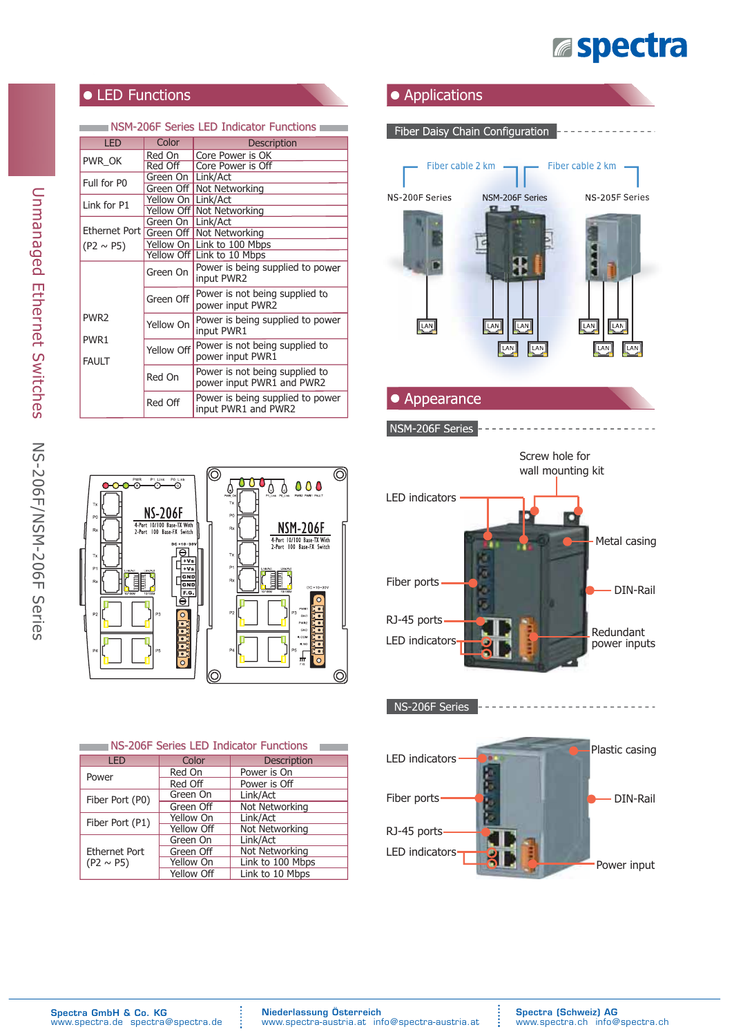

### • LED Functions

#### $\equiv$  NSM-206F Series LED Indicator Functions  $\equiv$

| <b>IFD</b>                       | Color                | <b>Description</b>                                          |  |
|----------------------------------|----------------------|-------------------------------------------------------------|--|
|                                  | Red On               | Core Power is OK                                            |  |
| PWR OK                           | Red Off              | Core Power is Off                                           |  |
| Full for P0                      | Green On   Link/Act  |                                                             |  |
|                                  |                      | Green Off   Not Networking                                  |  |
| Link for P1                      | Yellow On   Link/Act |                                                             |  |
|                                  |                      | Yellow Off Not Networking                                   |  |
|                                  | Green On   Link/Act  |                                                             |  |
| Ethernet Port                    |                      | Green Off   Not Networking                                  |  |
| $(P2 \sim P5)$                   |                      | Yellow On   Link to 100 Mbps                                |  |
|                                  |                      | Yellow Off   Link to 10 Mbps                                |  |
|                                  | Green On             | Power is being supplied to power<br>input PWR2              |  |
|                                  | Green Off            | Power is not being supplied to<br>power input PWR2          |  |
| PWR <sub>2</sub>                 | Yellow On            | Power is being supplied to power<br>input PWR1              |  |
| PWR <sub>1</sub><br><b>FAULT</b> | Yellow Off           | Power is not being supplied to<br>power input PWR1          |  |
|                                  | Red On               | Power is not being supplied to<br>power input PWR1 and PWR2 |  |
|                                  | Red Off              | Power is being supplied to power<br>input PWR1 and PWR2     |  |









÷



| NS-206F Series LED Indicator Functions |            |                    |  |  |  |  |
|----------------------------------------|------------|--------------------|--|--|--|--|
| <b>LED</b>                             | Color      | <b>Description</b> |  |  |  |  |
| Power                                  | Red On     | Power is On        |  |  |  |  |
|                                        | Red Off    | Power is Off       |  |  |  |  |
| Fiber Port (P0)                        | Green On   | Link/Act           |  |  |  |  |
|                                        | Green Off  | Not Networking     |  |  |  |  |
| Fiber Port (P1)                        | Yellow On  | Link/Act           |  |  |  |  |
|                                        | Yellow Off | Not Networking     |  |  |  |  |
| <b>Ethernet Port</b><br>$(P2 \sim P5)$ | Green On   | Link/Act           |  |  |  |  |
|                                        | Green Off  | Not Networking     |  |  |  |  |
|                                        | Yellow On  | Link to 100 Mbps   |  |  |  |  |
|                                        | Yellow Off | Link to 10 Mbps    |  |  |  |  |

**:**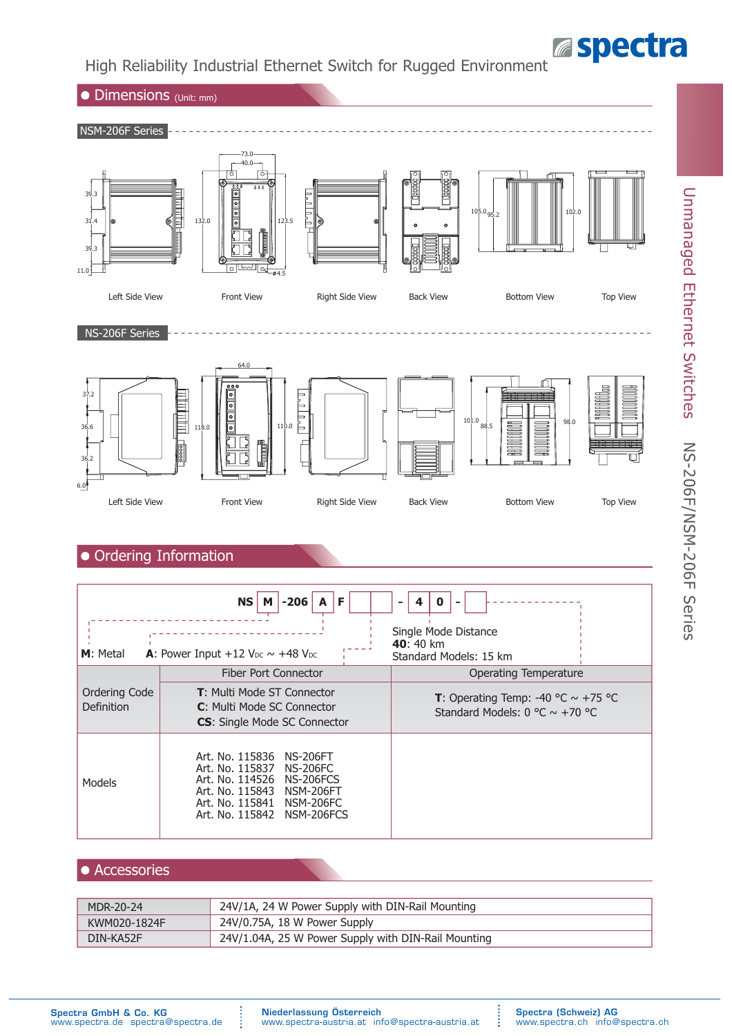# **Espectra**

Unmanaged Ethernet Switches

Unmanaged Ethernet Switches

NS-206F/NSM-206F Series

**NS-206F/NSM-206F Series** 

### High Reliability Industrial Ethernet Switch for Rugged Environment



### Accessories

Models

| MDR-20-24    | 24V/1A, 24 W Power Supply with DIN-Rail Mounting    |
|--------------|-----------------------------------------------------|
| KWM020-1824F | 24V/0.75A, 18 W Power Supply                        |
| DIN-KA52F    | 24V/1.04A, 25 W Power Supply with DIN-Rail Mounting |

Art. No. 115837 NS-206FC Art. No. 114526 NS-206FCS Art. No. 115843 NSM-206FT<br>Art. No. 115841 NSM-206FC Art. No. 115841 NSM-206FC<br>Art. No. 115842 NSM-206FCS

Art. No. 115842

:<br>:<br>:

÷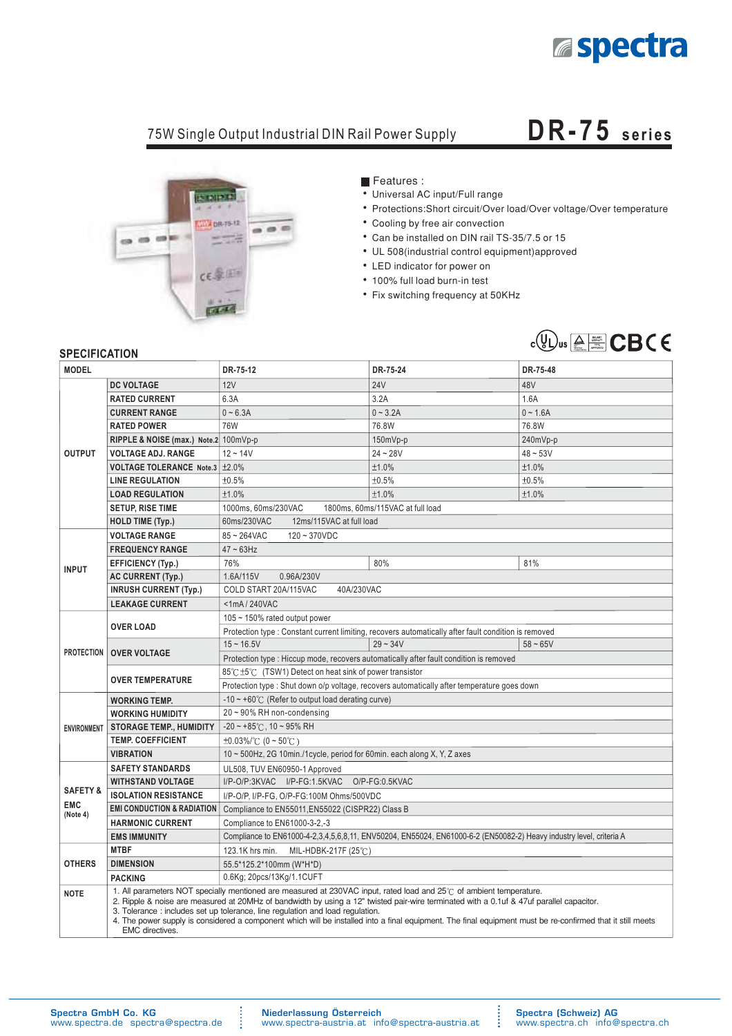

## 75W Single Output Industrial DIN Rail Power Supply **DR-75 series**



Features :

- Universal AC input/Full range
- Protections:Short circuit/Over load/Over voltage/Over temperature
- Cooling by free air convection
- Can be installed on DIN rail TS-35/7.5 or 15
- UL 508(industrial control equipment) approved
- LED indicator for power on
- 100% full load burn-in test
- Fix switching frequency at 50KHz



#### **SPECIFICATION**

| יוטוווטרווטם וט<br><b>MODEL</b> |                                                                                                                                                                                                                                                                                                                                                                                                                                                                                                                                   | DR-75-12                                                                                             | DR-75-24                                                                                                            | DR-75-48   |  |  |  |
|---------------------------------|-----------------------------------------------------------------------------------------------------------------------------------------------------------------------------------------------------------------------------------------------------------------------------------------------------------------------------------------------------------------------------------------------------------------------------------------------------------------------------------------------------------------------------------|------------------------------------------------------------------------------------------------------|---------------------------------------------------------------------------------------------------------------------|------------|--|--|--|
|                                 | <b>DC VOLTAGE</b>                                                                                                                                                                                                                                                                                                                                                                                                                                                                                                                 | 12V                                                                                                  | <b>24V</b>                                                                                                          | 48V        |  |  |  |
|                                 | <b>RATED CURRENT</b>                                                                                                                                                                                                                                                                                                                                                                                                                                                                                                              | 6.3A                                                                                                 | 3.2A                                                                                                                | 1.6A       |  |  |  |
|                                 | <b>CURRENT RANGE</b>                                                                                                                                                                                                                                                                                                                                                                                                                                                                                                              | $0 - 6.3A$                                                                                           | $0 - 3.2A$                                                                                                          | $0 - 1.6A$ |  |  |  |
|                                 | <b>RATED POWER</b>                                                                                                                                                                                                                                                                                                                                                                                                                                                                                                                | 76W                                                                                                  | 76.8W                                                                                                               | 76.8W      |  |  |  |
|                                 | RIPPLE & NOISE (max.) Note.2 100mVp-p                                                                                                                                                                                                                                                                                                                                                                                                                                                                                             |                                                                                                      | 150mVp-p                                                                                                            | 240mVp-p   |  |  |  |
| <b>OUTPUT</b>                   | <b>VOLTAGE ADJ. RANGE</b>                                                                                                                                                                                                                                                                                                                                                                                                                                                                                                         | $12 - 14V$                                                                                           | $24 - 28V$                                                                                                          | $48 - 53V$ |  |  |  |
|                                 | VOLTAGE TOLERANCE Note.3 ±2.0%                                                                                                                                                                                                                                                                                                                                                                                                                                                                                                    |                                                                                                      | ±1.0%                                                                                                               | ±1.0%      |  |  |  |
|                                 | <b>LINE REGULATION</b>                                                                                                                                                                                                                                                                                                                                                                                                                                                                                                            | ±0.5%                                                                                                | ±0.5%                                                                                                               | ±0.5%      |  |  |  |
|                                 | <b>LOAD REGULATION</b>                                                                                                                                                                                                                                                                                                                                                                                                                                                                                                            | ±1.0%                                                                                                | ±1.0%                                                                                                               | ±1.0%      |  |  |  |
|                                 | SETUP, RISE TIME                                                                                                                                                                                                                                                                                                                                                                                                                                                                                                                  | 1800ms, 60ms/115VAC at full load<br>1000ms, 60ms/230VAC                                              |                                                                                                                     |            |  |  |  |
|                                 | <b>HOLD TIME (Typ.)</b>                                                                                                                                                                                                                                                                                                                                                                                                                                                                                                           | 12ms/115VAC at full load<br>60ms/230VAC                                                              |                                                                                                                     |            |  |  |  |
|                                 | <b>VOLTAGE RANGE</b>                                                                                                                                                                                                                                                                                                                                                                                                                                                                                                              | $85 - 264$ VAC<br>$120 - 370 VDC$                                                                    |                                                                                                                     |            |  |  |  |
|                                 | <b>FREQUENCY RANGE</b>                                                                                                                                                                                                                                                                                                                                                                                                                                                                                                            | $47 \sim 63$ Hz                                                                                      |                                                                                                                     |            |  |  |  |
| <b>INPUT</b>                    | <b>EFFICIENCY (Typ.)</b>                                                                                                                                                                                                                                                                                                                                                                                                                                                                                                          | 76%                                                                                                  | 80%                                                                                                                 | 81%        |  |  |  |
|                                 | <b>AC CURRENT (Typ.)</b>                                                                                                                                                                                                                                                                                                                                                                                                                                                                                                          | 1.6A/115V<br>0.96A/230V                                                                              |                                                                                                                     |            |  |  |  |
|                                 | <b>INRUSH CURRENT (Typ.)</b>                                                                                                                                                                                                                                                                                                                                                                                                                                                                                                      | COLD START 20A/115VAC<br>40A/230VAC                                                                  |                                                                                                                     |            |  |  |  |
|                                 | <b>LEAKAGE CURRENT</b>                                                                                                                                                                                                                                                                                                                                                                                                                                                                                                            | <1mA/240VAC                                                                                          |                                                                                                                     |            |  |  |  |
|                                 |                                                                                                                                                                                                                                                                                                                                                                                                                                                                                                                                   | 105 ~ 150% rated output power                                                                        |                                                                                                                     |            |  |  |  |
|                                 | <b>OVER LOAD</b>                                                                                                                                                                                                                                                                                                                                                                                                                                                                                                                  | Protection type : Constant current limiting, recovers automatically after fault condition is removed |                                                                                                                     |            |  |  |  |
| <b>PROTECTION</b>               | <b>OVER VOLTAGE</b>                                                                                                                                                                                                                                                                                                                                                                                                                                                                                                               | $15 - 16.5V$                                                                                         | $29 - 34V$                                                                                                          | $58 - 65V$ |  |  |  |
|                                 |                                                                                                                                                                                                                                                                                                                                                                                                                                                                                                                                   | Protection type: Hiccup mode, recovers automatically after fault condition is removed                |                                                                                                                     |            |  |  |  |
|                                 | <b>OVER TEMPERATURE</b>                                                                                                                                                                                                                                                                                                                                                                                                                                                                                                           | 85℃ ±5℃ (TSW1) Detect on heat sink of power transistor                                               |                                                                                                                     |            |  |  |  |
|                                 |                                                                                                                                                                                                                                                                                                                                                                                                                                                                                                                                   | Protection type : Shut down o/p voltage, recovers automatically after temperature goes down          |                                                                                                                     |            |  |  |  |
|                                 | <b>WORKING TEMP.</b>                                                                                                                                                                                                                                                                                                                                                                                                                                                                                                              | $-10 \sim +60^{\circ}$ (Refer to output load derating curve)                                         |                                                                                                                     |            |  |  |  |
|                                 | <b>WORKING HUMIDITY</b>                                                                                                                                                                                                                                                                                                                                                                                                                                                                                                           | $20 \sim 90\%$ RH non-condensing                                                                     |                                                                                                                     |            |  |  |  |
| <b>ENVIRONMENT</b>              | <b>STORAGE TEMP., HUMIDITY</b>                                                                                                                                                                                                                                                                                                                                                                                                                                                                                                    | $-20$ ~ +85°C, 10 ~ 95% RH                                                                           |                                                                                                                     |            |  |  |  |
|                                 | <b>TEMP. COEFFICIENT</b>                                                                                                                                                                                                                                                                                                                                                                                                                                                                                                          | $\pm 0.03\%$ /°C (0 ~ 50°C)                                                                          |                                                                                                                     |            |  |  |  |
|                                 | <b>VIBRATION</b>                                                                                                                                                                                                                                                                                                                                                                                                                                                                                                                  |                                                                                                      | 10 ~ 500Hz, 2G 10min./1cycle, period for 60min. each along X, Y, Z axes                                             |            |  |  |  |
|                                 | <b>SAFETY STANDARDS</b>                                                                                                                                                                                                                                                                                                                                                                                                                                                                                                           | UL508, TUV EN60950-1 Approved                                                                        |                                                                                                                     |            |  |  |  |
| <b>SAFETY &amp;</b>             | I/P-O/P:3KVAC I/P-FG:1.5KVAC O/P-FG:0.5KVAC<br><b>WITHSTAND VOLTAGE</b>                                                                                                                                                                                                                                                                                                                                                                                                                                                           |                                                                                                      |                                                                                                                     |            |  |  |  |
| <b>EMC</b>                      | <b>ISOLATION RESISTANCE</b>                                                                                                                                                                                                                                                                                                                                                                                                                                                                                                       | I/P-O/P, I/P-FG, O/P-FG:100M Ohms/500VDC                                                             |                                                                                                                     |            |  |  |  |
| (Note 4)                        | <b>EMI CONDUCTION &amp; RADIATION</b>                                                                                                                                                                                                                                                                                                                                                                                                                                                                                             |                                                                                                      | Compliance to EN55011, EN55022 (CISPR22) Class B                                                                    |            |  |  |  |
|                                 | <b>HARMONIC CURRENT</b>                                                                                                                                                                                                                                                                                                                                                                                                                                                                                                           |                                                                                                      | Compliance to EN61000-3-2,-3                                                                                        |            |  |  |  |
|                                 | <b>EMS IMMUNITY</b>                                                                                                                                                                                                                                                                                                                                                                                                                                                                                                               |                                                                                                      | Compliance to EN61000-4-2,3,4,5,6,8,11, ENV50204, EN55024, EN61000-6-2 (EN50082-2) Heavy industry level, criteria A |            |  |  |  |
|                                 | <b>MTBF</b>                                                                                                                                                                                                                                                                                                                                                                                                                                                                                                                       | 123.1K hrs min.<br>MIL-HDBK-217F (25 $°C$ )                                                          |                                                                                                                     |            |  |  |  |
| <b>OTHERS</b>                   | <b>DIMENSION</b>                                                                                                                                                                                                                                                                                                                                                                                                                                                                                                                  | 55.5*125.2*100mm (W*H*D)                                                                             |                                                                                                                     |            |  |  |  |
|                                 | <b>PACKING</b>                                                                                                                                                                                                                                                                                                                                                                                                                                                                                                                    | 0.6Kg; 20pcs/13Kg/1.1CUFT                                                                            |                                                                                                                     |            |  |  |  |
| <b>NOTE</b>                     | 1. All parameters NOT specially mentioned are measured at 230VAC input, rated load and 25°C of ambient temperature.<br>2. Ripple & noise are measured at 20MHz of bandwidth by using a 12" twisted pair-wire terminated with a 0.1uf & 47uf parallel capacitor.<br>3. Tolerance: includes set up tolerance, line regulation and load regulation.<br>4. The power supply is considered a component which will be installed into a final equipment. The final equipment must be re-confirmed that it still meets<br>EMC directives. |                                                                                                      |                                                                                                                     |            |  |  |  |

:

÷